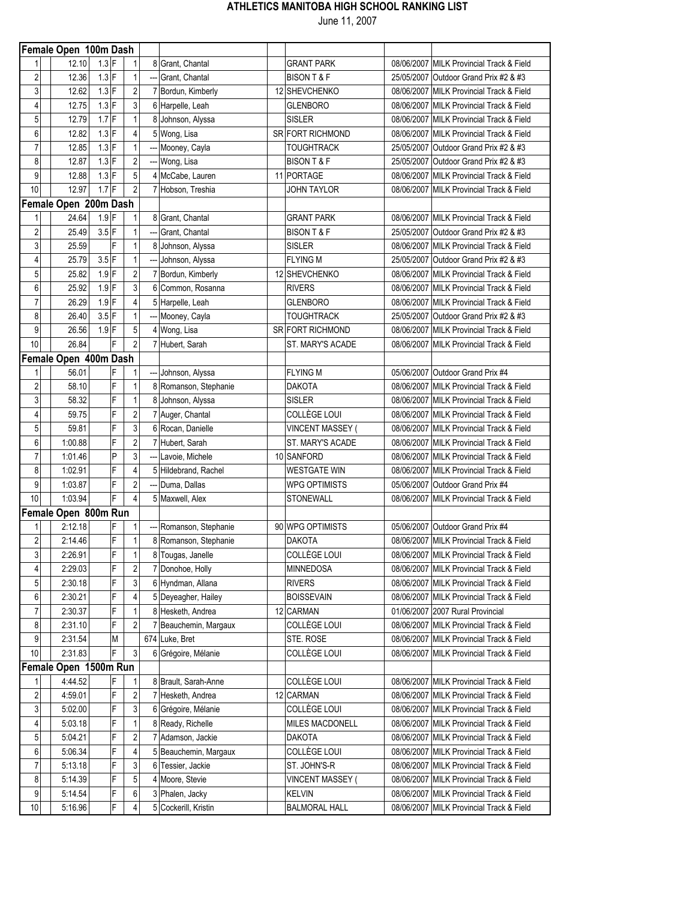|                         | Female Open 100m Dash |         |   |                         |   |                       |                         |                                          |
|-------------------------|-----------------------|---------|---|-------------------------|---|-----------------------|-------------------------|------------------------------------------|
| 1                       | 12.10                 | $1.3$ F |   | 1                       |   | 8 Grant, Chantal      | <b>GRANT PARK</b>       | 08/06/2007 MILK Provincial Track & Field |
| $\overline{\mathbf{c}}$ | 12.36                 | $1.3$ F |   | 1                       |   | Grant, Chantal        | <b>BISON T &amp; F</b>  | 25/05/2007 Outdoor Grand Prix #2 & #3    |
| 3                       | 12.62                 | $1.3$ F |   | $\overline{\mathbf{c}}$ |   | 7 Bordun, Kimberly    | 12 SHEVCHENKO           | 08/06/2007 MILK Provincial Track & Field |
| 4                       | 12.75                 | $1.3$ F |   | 3                       |   | 6 Harpelle, Leah      | <b>GLENBORO</b>         | 08/06/2007 MILK Provincial Track & Field |
| 5                       | 12.79                 | $1.7$ F |   | 1                       |   | 8 Johnson, Alyssa     | <b>SISLER</b>           | 08/06/2007 MILK Provincial Track & Field |
| 6                       | 12.82                 | $1.3$ F |   | 4                       |   | 5 Wong, Lisa          | SR FORT RICHMOND        | 08/06/2007 MILK Provincial Track & Field |
| $\overline{7}$          | 12.85                 | $1.3$ F |   | $\mathbf{1}$            |   | --- Mooney, Cayla     | <b>TOUGHTRACK</b>       | 25/05/2007 Outdoor Grand Prix #2 & #3    |
| 8                       | 12.87                 | $1.3$ F |   | $\overline{\mathbf{c}}$ |   | --- Wong, Lisa        | <b>BISON T &amp; F</b>  | 25/05/2007 Outdoor Grand Prix #2 & #3    |
| 9                       | 12.88                 | $1.3$ F |   | 5                       |   | 4 McCabe, Lauren      | 11 PORTAGE              | 08/06/2007 MILK Provincial Track & Field |
| 10                      | 12.97                 | $1.7$ F |   | $\overline{c}$          |   | 7 Hobson, Treshia     | JOHN TAYLOR             | 08/06/2007 MILK Provincial Track & Field |
|                         | Female Open 200m Dash |         |   |                         |   |                       |                         |                                          |
| 1                       | 24.64                 | $1.9$ F |   | 1                       |   | 8 Grant, Chantal      | <b>GRANT PARK</b>       | 08/06/2007 MILK Provincial Track & Field |
| $\overline{2}$          | 25.49                 | $3.5$ F |   | 1                       |   | Grant, Chantal        | <b>BISON T &amp; F</b>  | 25/05/2007 Outdoor Grand Prix #2 & #3    |
| 3                       | 25.59                 |         | F | 1                       |   | 8 Johnson, Alyssa     | <b>SISLER</b>           | 08/06/2007 MILK Provincial Track & Field |
| 4                       | 25.79                 | $3.5$ F |   | 1                       |   | Johnson, Alyssa       | <b>FLYING M</b>         | 25/05/2007 Outdoor Grand Prix #2 & #3    |
| 5                       | 25.82                 | $1.9$ F |   | $\overline{2}$          |   | 7 Bordun, Kimberly    | 12 SHEVCHENKO           | 08/06/2007 MILK Provincial Track & Field |
| 6                       | 25.92                 | $1.9$ F |   | 3                       | 6 | Common, Rosanna       | <b>RIVERS</b>           | 08/06/2007 MILK Provincial Track & Field |
| $\overline{7}$          | 26.29                 | $1.9$ F |   | 4                       |   | 5 Harpelle, Leah      | <b>GLENBORO</b>         | 08/06/2007 MILK Provincial Track & Field |
| 8                       | 26.40                 | $3.5$ F |   | 1                       |   | --- Mooney, Cayla     | <b>TOUGHTRACK</b>       | 25/05/2007 Outdoor Grand Prix #2 & #3    |
| 9                       | 26.56                 | $1.9$ F |   | 5                       |   | 4 Wong, Lisa          | <b>SR FORT RICHMOND</b> | 08/06/2007 MILK Provincial Track & Field |
| 10                      | 26.84                 |         | F | $\overline{2}$          |   | 7 Hubert, Sarah       | ST. MARY'S ACADE        | 08/06/2007 MILK Provincial Track & Field |
|                         | Female Open 400m Dash |         |   |                         |   |                       |                         |                                          |
| 1                       | 56.01                 |         | F | 1                       |   | --- Johnson, Alyssa   | <b>FLYING M</b>         | 05/06/2007 Outdoor Grand Prix #4         |
| $\sqrt{2}$              | 58.10                 |         | F | $\mathbf{1}$            |   | 8 Romanson, Stephanie | <b>DAKOTA</b>           | 08/06/2007 MILK Provincial Track & Field |
| 3                       | 58.32                 |         | F | 1                       |   | 8 Johnson, Alyssa     | <b>SISLER</b>           | 08/06/2007 MILK Provincial Track & Field |
| $\overline{4}$          | 59.75                 |         | F | $\overline{\mathbf{c}}$ |   | 7 Auger, Chantal      | <b>COLLÈGE LOUI</b>     | 08/06/2007 MILK Provincial Track & Field |
| 5                       | 59.81                 |         | F | 3                       |   | 6 Rocan, Danielle     | VINCENT MASSEY (        | 08/06/2007 MILK Provincial Track & Field |
| 6                       | 1:00.88               |         | F | $\overline{\mathbf{c}}$ |   | Hubert, Sarah         | ST. MARY'S ACADE        | 08/06/2007 MILK Provincial Track & Field |
| $\overline{7}$          | 1:01.46               |         | P | 3                       |   | Lavoie, Michele       | 10 SANFORD              | 08/06/2007 MILK Provincial Track & Field |
| 8                       | 1:02.91               |         | F | $\overline{4}$          |   | 5 Hildebrand, Rachel  | <b>WESTGATE WIN</b>     | 08/06/2007 MILK Provincial Track & Field |
| 9                       | 1:03.87               |         | F | $\overline{c}$          |   | --- Duma, Dallas      | <b>WPG OPTIMISTS</b>    | 05/06/2007 Outdoor Grand Prix #4         |
| 10                      | 1:03.94               |         | F | $\overline{4}$          |   | 5 Maxwell, Alex       | STONEWALL               | 08/06/2007 MILK Provincial Track & Field |
|                         | Female Open 800m Run  |         |   |                         |   |                       |                         |                                          |
| 1                       | 2:12.18               |         | F | 1                       |   | Romanson, Stephanie   | 90 WPG OPTIMISTS        | 05/06/2007 Outdoor Grand Prix #4         |
| $\overline{2}$          | 2:14.46               |         | F | 1                       |   | 8 Romanson, Stephanie | <b>DAKOTA</b>           | 08/06/2007 MILK Provincial Track & Field |
| $\overline{3}$          | 2:26.91               |         | F | $\mathbf 1$             |   | 8 Tougas, Janelle     | <b>COLLÈGE LOUI</b>     | 08/06/2007 MILK Provincial Track & Field |
| 4                       | 2:29.03               |         | F | 2                       |   | 7 Donohoe, Holly      | MINNEDOSA               | 08/06/2007 MILK Provincial Track & Field |
| 5                       | 2:30.18               |         | F | 3                       |   | 6 Hyndman, Allana     | <b>RIVERS</b>           | 08/06/2007 MILK Provincial Track & Field |
| 6                       | 2:30.21               |         | F |                         |   | 5 Deveagher, Hailey   | <b>BOISSEVAIN</b>       | 08/06/2007 MILK Provincial Track & Field |
| $\overline{7}$          | 2:30.37               |         | F | 1                       |   | 8 Hesketh, Andrea     | 12 CARMAN               | 01/06/2007 2007 Rural Provincial         |
| 8                       | 2:31.10               |         | F | $\overline{2}$          |   | 7 Beauchemin, Margaux | COLLÈGE LOUI            | 08/06/2007 MILK Provincial Track & Field |
| 9                       | 2:31.54               |         | М |                         |   | 674 Luke, Bret        | STE. ROSE               | 08/06/2007 MILK Provincial Track & Field |
| $10$                    | 2:31.83               |         | F | 3                       |   | 6 Grégoire, Mélanie   | <b>COLLÈGE LOUI</b>     | 08/06/2007 MILK Provincial Track & Field |
|                         | Female Open 1500m Run |         |   |                         |   |                       |                         |                                          |
| 1                       | 4:44.52               |         | F |                         |   | 8 Brault, Sarah-Anne  | COLLÈGE LOUI            | 08/06/2007 MILK Provincial Track & Field |
| $\overline{\mathbf{c}}$ | 4:59.01               |         | F | 2                       |   | 7 Hesketh, Andrea     | 12 CARMAN               | 08/06/2007 MILK Provincial Track & Field |
| 3                       | 5:02.00               |         | F | 3                       |   | 6 Grégoire, Mélanie   | COLLÈGE LOUI            | 08/06/2007 MILK Provincial Track & Field |
| 4                       | 5:03.18               |         | F |                         |   | 8 Ready, Richelle     | MILES MACDONELL         | 08/06/2007 MILK Provincial Track & Field |
| 5                       | 5:04.21               |         | F | 2                       |   | 7 Adamson, Jackie     | <b>DAKOTA</b>           | 08/06/2007 MILK Provincial Track & Field |
| 6                       | 5:06.34               |         | F | 4                       |   | 5 Beauchemin, Margaux | COLLÈGE LOUI            | 08/06/2007 MILK Provincial Track & Field |
| $\overline{7}$          | 5:13.18               |         | F | 3                       |   | 6 Tessier, Jackie     | ST. JOHN'S-R            | 08/06/2007 MILK Provincial Track & Field |
| 8                       | 5:14.39               |         | F | 5                       |   | 4 Moore, Stevie       | VINCENT MASSEY (        | 08/06/2007 MILK Provincial Track & Field |
| 9                       | 5:14.54               |         | F | 6                       |   | 3 Phalen, Jacky       | <b>KELVIN</b>           | 08/06/2007 MILK Provincial Track & Field |
| 10                      | 5:16.96               |         | F | 4                       |   | 5 Cockerill, Kristin  | <b>BALMORAL HALL</b>    | 08/06/2007 MILK Provincial Track & Field |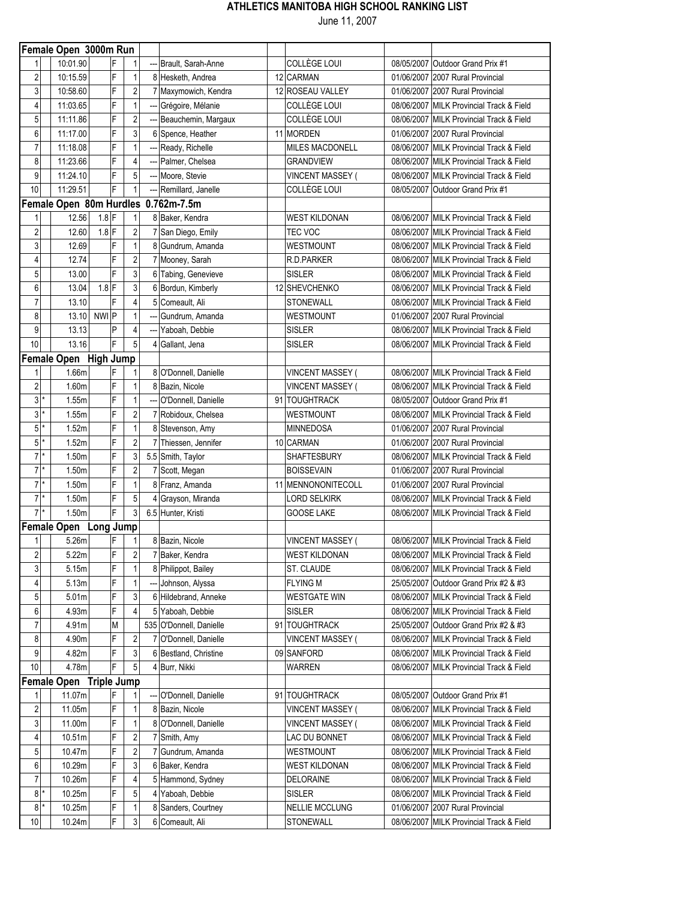|                         | Female Open 3000m Run   |                |                         |     |                                     |                         |                                          |
|-------------------------|-------------------------|----------------|-------------------------|-----|-------------------------------------|-------------------------|------------------------------------------|
| 1                       | 10:01.90                | F              | 1                       |     | Brault, Sarah-Anne                  | <b>COLLÈGE LOUI</b>     | 08/05/2007 Outdoor Grand Prix #1         |
| $\overline{\mathbf{c}}$ | 10:15.59                | F              | 1                       |     | 8 Hesketh, Andrea                   | 12 CARMAN               | 01/06/2007 2007 Rural Provincial         |
| 3                       | 10:58.60                | F              | $\overline{\mathbf{c}}$ |     | 7 Maxymowich, Kendra                | 12 ROSEAU VALLEY        | 01/06/2007 2007 Rural Provincial         |
| 4                       | 11:03.65                | F              | 1                       |     | --- Grégoire, Mélanie               | <b>COLLÈGE LOUI</b>     | 08/06/2007 MILK Provincial Track & Field |
| 5                       | 11:11.86                | F              | $\overline{2}$          | --- | Beauchemin, Margaux                 | COLLÈGE LOUI            | 08/06/2007 MILK Provincial Track & Field |
| 6                       | 11:17.00                | F              | 3                       |     | 6 Spence, Heather                   | 11 MORDEN               | 01/06/2007 2007 Rural Provincial         |
| $\overline{7}$          | 11:18.08                | F              | $\mathbf{1}$            |     | Ready, Richelle                     | <b>MILES MACDONELL</b>  | 08/06/2007 MILK Provincial Track & Field |
| 8                       | 11:23.66                | F              | 4                       |     | ---   Palmer, Chelsea               | <b>GRANDVIEW</b>        | 08/06/2007 MILK Provincial Track & Field |
| 9                       | 11:24.10                | F              | 5                       |     | Moore, Stevie                       | <b>VINCENT MASSEY (</b> | 08/06/2007 MILK Provincial Track & Field |
| 10                      | 11:29.51                | F              | 1                       |     | Remillard, Janelle                  | <b>COLLÈGE LOUI</b>     | 08/05/2007 Outdoor Grand Prix #1         |
|                         |                         |                |                         |     | Female Open 80m Hurdles 0.762m-7.5m |                         |                                          |
| 1                       | 12.56                   | $1.8$ F        | 1                       |     | 8 Baker, Kendra                     | <b>WEST KILDONAN</b>    | 08/06/2007 MILK Provincial Track & Field |
| $\overline{2}$          | 12.60                   | $1.8$ F        | $\overline{2}$          |     | 7 San Diego, Emily                  | TEC VOC                 | 08/06/2007 MILK Provincial Track & Field |
| 3                       | 12.69                   | F              | 1                       |     | 8 Gundrum, Amanda                   | <b>WESTMOUNT</b>        | 08/06/2007 MILK Provincial Track & Field |
| 4                       | 12.74                   | F              | $\overline{c}$          |     | 7 Mooney, Sarah                     | R.D.PARKER              | 08/06/2007 MILK Provincial Track & Field |
| 5                       | 13.00                   | F              | 3                       |     | 6 Tabing, Genevieve                 | <b>SISLER</b>           | 08/06/2007 MILK Provincial Track & Field |
| 6                       | 13.04                   | $1.8$ F        | 3                       |     | 6 Bordun, Kimberly                  | 12 SHEVCHENKO           | 08/06/2007 MILK Provincial Track & Field |
| $\overline{7}$          | 13.10                   | F              | 4                       | 5   | Comeault, Ali                       | STONEWALL               | 08/06/2007 MILK Provincial Track & Field |
|                         |                         | NWI P          |                         |     |                                     |                         |                                          |
| 8                       | 13.10                   | P              | 1                       |     | Gundrum, Amanda                     | WESTMOUNT               | 01/06/2007 2007 Rural Provincial         |
| 9                       | 13.13                   |                | $\overline{4}$          |     | Yaboah, Debbie                      | <b>SISLER</b>           | 08/06/2007 MILK Provincial Track & Field |
| 10                      | 13.16                   | F              | 5                       |     | 4 Gallant, Jena                     | <b>SISLER</b>           | 08/06/2007 MILK Provincial Track & Field |
|                         | Female Open High Jump   |                |                         |     |                                     |                         |                                          |
| 1                       | 1.66m                   | F              | 1                       |     | 8 O'Donnell, Danielle               | <b>VINCENT MASSEY (</b> | 08/06/2007 MILK Provincial Track & Field |
| $\overline{2}$          | 1.60m                   | F              | $\mathbf{1}$            |     | 8 Bazin, Nicole                     | <b>VINCENT MASSEY (</b> | 08/06/2007 MILK Provincial Track & Field |
| $3*$                    | 1.55m                   | F              | 1                       |     | O'Donnell, Danielle                 | 91 TOUGHTRACK           | 08/05/2007 Outdoor Grand Prix #1         |
| $3*$                    | 1.55m                   | F              | $\overline{c}$          |     | 7 Robidoux, Chelsea                 | WESTMOUNT               | 08/06/2007 MILK Provincial Track & Field |
| 5                       | 1.52m                   | F              | 1                       |     | 8 Stevenson, Amy                    | <b>MINNEDOSA</b>        | 01/06/2007 2007 Rural Provincial         |
| 5                       | 1.52m                   | F              | $\overline{\mathbf{c}}$ |     | Thiessen, Jennifer                  | 10 CARMAN               | 01/06/2007 2007 Rural Provincial         |
| $7*$                    | 1.50m                   | F              | 3                       |     | 5.5 Smith, Taylor                   | <b>SHAFTESBURY</b>      | 08/06/2007 MILK Provincial Track & Field |
| $7$ *                   | 1.50m                   | F              | $\overline{c}$          |     | 7 Scott, Megan                      | <b>BOISSEVAIN</b>       | 01/06/2007 2007 Rural Provincial         |
| $7*$                    | 1.50m                   | F              | 1                       |     | 8 Franz, Amanda                     | 11 MENNONONITECOLL      | 01/06/2007 2007 Rural Provincial         |
| $7*$                    | 1.50m                   | F              | 5                       | 4   | Grayson, Miranda                    | <b>LORD SELKIRK</b>     | 08/06/2007 MILK Provincial Track & Field |
| $7*$                    | 1.50m                   | F              | 3                       |     | 6.5 Hunter, Kristi                  | <b>GOOSE LAKE</b>       | 08/06/2007 MILK Provincial Track & Field |
|                         | Female Open Long Jump   |                |                         |     |                                     |                         |                                          |
| 1                       | 5.26m                   | F              | 1                       |     | 8 Bazin, Nicole                     | <b>VINCENT MASSEY (</b> | 08/06/2007 MILK Provincial Track & Field |
| $\overline{2}$          | 5.22m                   | $\overline{F}$ | $\overline{\mathbf{c}}$ |     | 7 Baker, Kendra                     | <b>WEST KILDONAN</b>    | 08/06/2007 MILK Provincial Track & Field |
| 3                       | 5.15m                   | F              | 1                       |     | 8 Philippot, Bailey                 | ST. CLAUDE              | 08/06/2007 MILK Provincial Track & Field |
| 4                       | 5.13m                   | F              | 1                       |     | Johnson, Alyssa                     | <b>FLYING M</b>         | 25/05/2007 Outdoor Grand Prix #2 & #3    |
| 5                       | 5.01 <sub>m</sub>       | F              | 3                       |     | 6 Hildebrand, Anneke                | <b>WESTGATE WIN</b>     | 08/06/2007 MILK Provincial Track & Field |
| 6                       | 4.93m                   | F              | 4                       |     | 5 Yaboah, Debbie                    | <b>SISLER</b>           | 08/06/2007 MILK Provincial Track & Field |
| $\overline{7}$          | 4.91m                   | M              |                         |     | 535 O'Donnell, Danielle             | 91 TOUGHTRACK           | 25/05/2007 Outdoor Grand Prix #2 & #3    |
| 8                       | 4.90m                   | F              | 2                       |     | 7 O'Donnell, Danielle               | <b>VINCENT MASSEY (</b> | 08/06/2007 MILK Provincial Track & Field |
| 9                       | 4.82m                   | F              | 3                       |     | 6 Bestland, Christine               | 09 SANFORD              | 08/06/2007 MILK Provincial Track & Field |
| 10                      | 4.78m                   | F              | 5                       |     | 4 Burr, Nikki                       | WARREN                  | 08/06/2007 MILK Provincial Track & Field |
|                         |                         |                |                         |     |                                     |                         |                                          |
|                         | Female Open Triple Jump | F              |                         |     |                                     |                         |                                          |
| 1                       | 11.07m                  |                | 1                       |     | O'Donnell, Danielle                 | 91   TOUGHTRACK         | 08/05/2007 Outdoor Grand Prix #1         |
| $\overline{c}$          | 11.05m                  | F<br>F         | 1                       |     | 8 Bazin, Nicole                     | <b>VINCENT MASSEY (</b> | 08/06/2007 MILK Provincial Track & Field |
| 3                       | 11.00m                  |                | 1                       |     | 8 O'Donnell, Danielle               | <b>VINCENT MASSEY (</b> | 08/06/2007 MILK Provincial Track & Field |
| 4                       | 10.51m                  | F              | 2                       |     | 7 Smith, Amy                        | LAC DU BONNET           | 08/06/2007 MILK Provincial Track & Field |
| 5                       | 10.47m                  | F              | $\overline{2}$          |     | 7 Gundrum, Amanda                   | WESTMOUNT               | 08/06/2007 MILK Provincial Track & Field |
| 6                       | 10.29m                  | F              | 3                       |     | 6 Baker, Kendra                     | <b>WEST KILDONAN</b>    | 08/06/2007 MILK Provincial Track & Field |
| $\overline{7}$          | 10.26m                  | F              | 4                       |     | 5 Hammond, Sydney                   | DELORAINE               | 08/06/2007 MILK Provincial Track & Field |
| $8$ $*$                 | 10.25m                  | F              | 5                       |     | 4 Yaboah, Debbie                    | <b>SISLER</b>           | 08/06/2007 MILK Provincial Track & Field |
| $8*$                    | 10.25m                  | F              | 1                       |     | 8 Sanders, Courtney                 | <b>NELLIE MCCLUNG</b>   | 01/06/2007 2007 Rural Provincial         |
| 10                      | 10.24m                  | F              | 3                       |     | 6 Comeault, Ali                     | STONEWALL               | 08/06/2007 MILK Provincial Track & Field |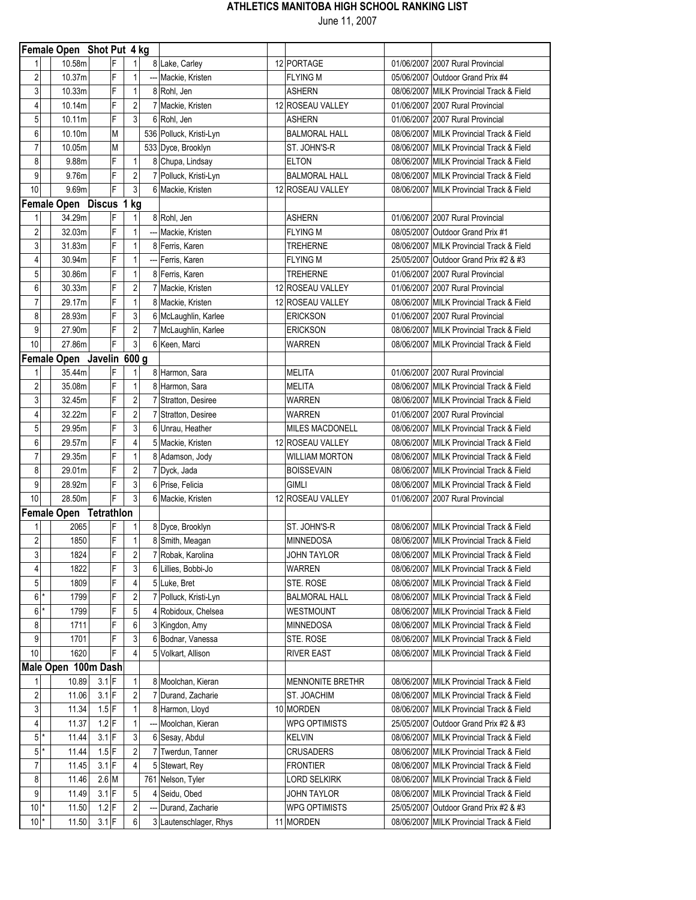|                         | Female Open Shot Put 4 kg |                   |   |                     |                                     |                                   |            |                                                                                      |
|-------------------------|---------------------------|-------------------|---|---------------------|-------------------------------------|-----------------------------------|------------|--------------------------------------------------------------------------------------|
|                         | 10.58m                    |                   | F | $\mathbf{1}$        | 8 Lake, Carley                      | 12 PORTAGE                        |            | 01/06/2007 2007 Rural Provincial                                                     |
| 2                       | 10.37m                    |                   | F | $\mathbf{1}$        | --- Mackie, Kristen                 | <b>FLYING M</b>                   |            | 05/06/2007 Outdoor Grand Prix #4                                                     |
| 3                       | 10.33m                    |                   | F | $\mathbf{1}$        | 8 Rohl, Jen                         | <b>ASHERN</b>                     |            | 08/06/2007 MILK Provincial Track & Field                                             |
| 4                       | 10.14m                    |                   | F | $\overline{2}$      | 7 Mackie, Kristen                   | 12 ROSEAU VALLEY                  |            | 01/06/2007 2007 Rural Provincial                                                     |
| 5                       | 10.11m                    |                   | F | 3                   | 6 Rohl, Jen                         | <b>ASHERN</b>                     |            | 01/06/2007 2007 Rural Provincial                                                     |
| 6                       | 10.10m                    |                   | M |                     | 536 Polluck, Kristi-Lyn             | <b>BALMORAL HALL</b>              |            | 08/06/2007 MILK Provincial Track & Field                                             |
| 7                       | 10.05m                    |                   | M |                     | 533 Dyce, Brooklyn                  | ST. JOHN'S-R                      |            | 08/06/2007 MILK Provincial Track & Field                                             |
| 8                       | 9.88m                     |                   | F | $\mathbf{1}$        | 8 Chupa, Lindsay                    | <b>ELTON</b>                      |            | 08/06/2007 MILK Provincial Track & Field                                             |
| 9                       | 9.76m                     |                   | F | $\sqrt{2}$          | 7 Polluck, Kristi-Lyn               | <b>BALMORAL HALL</b>              |            | 08/06/2007 MILK Provincial Track & Field                                             |
| 10                      | 9.69m                     |                   | F | 3                   | 6 Mackie, Kristen                   | 12 ROSEAU VALLEY                  |            | 08/06/2007 MILK Provincial Track & Field                                             |
|                         | Female Open Discus 1 kg   |                   |   |                     |                                     |                                   |            |                                                                                      |
| 1                       | 34.29m                    |                   | F | 1                   | 8 Rohl, Jen                         | <b>ASHERN</b>                     |            | 01/06/2007 2007 Rural Provincial                                                     |
| $\overline{\mathbf{c}}$ | 32.03m                    |                   | F | $\mathbf{1}$        | --- Mackie, Kristen                 | <b>FLYING M</b>                   |            | 08/05/2007 Outdoor Grand Prix #1                                                     |
| 3                       | 31.83m                    |                   | F | $\mathbf{1}$        | 8 Ferris, Karen                     | <b>TREHERNE</b>                   |            | 08/06/2007 MILK Provincial Track & Field                                             |
| 4                       | 30.94m                    |                   | F | $\mathbf{1}$        | --- Ferris, Karen                   | <b>FLYING M</b>                   |            | 25/05/2007 Outdoor Grand Prix #2 & #3                                                |
| 5                       | 30.86m                    |                   | F | $\mathbf{1}$        | 8 Ferris, Karen                     | <b>TREHERNE</b>                   |            | 01/06/2007 2007 Rural Provincial                                                     |
| 6                       | 30.33m                    |                   | F | $\overline{2}$      | 7 Mackie, Kristen                   | 12 ROSEAU VALLEY                  |            | 01/06/2007 2007 Rural Provincial                                                     |
| 7                       | 29.17m                    |                   | F | 1                   | 8 Mackie, Kristen                   | 12 ROSEAU VALLEY                  |            | 08/06/2007 MILK Provincial Track & Field                                             |
| 8                       | 28.93m                    |                   | F | 3                   | 6 McLaughlin, Karlee                | <b>ERICKSON</b>                   |            | 01/06/2007 2007 Rural Provincial                                                     |
| 9                       | 27.90m                    |                   | F | $\sqrt{2}$          | 7 McLaughlin, Karlee                | <b>ERICKSON</b>                   |            | 08/06/2007 MILK Provincial Track & Field                                             |
| 10                      | 27.86m                    |                   | F | $\mathbf{3}$        | 6 Keen, Marci                       | <b>WARREN</b>                     |            | 08/06/2007 MILK Provincial Track & Field                                             |
|                         | Female Open Javelin 600 g |                   |   |                     |                                     |                                   |            |                                                                                      |
|                         | 35.44m                    |                   | F | 1                   | 8 Harmon, Sara                      | MELITA                            |            | 01/06/2007 2007 Rural Provincial                                                     |
| $\overline{2}$          | 35.08m                    |                   | F | $\mathbf{1}$        | 8 Harmon, Sara                      | MELITA                            |            | 08/06/2007 MILK Provincial Track & Field                                             |
| 3                       | 32.45m                    |                   | F | $\overline{2}$      | 7 Stratton, Desiree                 | <b>WARREN</b>                     |            | 08/06/2007 MILK Provincial Track & Field                                             |
| 4                       | 32.22m                    |                   | F | $\overline{2}$      | 7 Stratton, Desiree                 | <b>WARREN</b>                     |            | 01/06/2007 2007 Rural Provincial                                                     |
| 5                       | 29.95m                    |                   | F | $\mathsf 3$         | 6 Unrau, Heather                    | <b>MILES MACDONELL</b>            |            | 08/06/2007 MILK Provincial Track & Field                                             |
| 6                       | 29.57m                    |                   | F | 4                   | 5 Mackie, Kristen                   | 12 ROSEAU VALLEY                  |            | 08/06/2007 MILK Provincial Track & Field                                             |
| 7                       | 29.35m                    |                   | F | $\mathbf{1}$        | 8 Adamson, Jody                     | <b>WILLIAM MORTON</b>             |            | 08/06/2007 MILK Provincial Track & Field                                             |
| 8                       | 29.01m                    |                   | F | $\overline{2}$      | 7 Dyck, Jada                        | <b>BOISSEVAIN</b>                 |            | 08/06/2007 MILK Provincial Track & Field                                             |
| 9                       | 28.92m                    |                   | F | 3                   | 6 Prise, Felicia                    | <b>GIMLI</b>                      |            | 08/06/2007 MILK Provincial Track & Field                                             |
| 10                      | 28.50m                    |                   | F | 3                   | 6 Mackie, Kristen                   | 12 ROSEAU VALLEY                  |            | 01/06/2007 2007 Rural Provincial                                                     |
|                         | Female Open Tetrathlon    |                   |   |                     |                                     |                                   |            |                                                                                      |
| 1                       | 2065                      |                   | F | 1                   | 8 Dyce, Brooklyn                    | ST. JOHN'S-R                      |            | 08/06/2007 MILK Provincial Track & Field                                             |
| 2                       | 1850                      |                   | F | $\mathbf{1}$        | 8 Smith, Meagan                     | <b>MINNEDOSA</b>                  |            | 08/06/2007 MILK Provincial Track & Field                                             |
| $\mathfrak{z}$          | 1824                      |                   | F | $\overline{2}$      | 7 Robak, Karolina                   | <b>JOHN TAYLOR</b>                |            | 08/06/2007 MILK Provincial Track & Field                                             |
| 4                       | 1822                      |                   | F | $\mathbf{3}$        | 6 Lillies, Bobbi-Jo                 | WARREN                            |            | 08/06/2007 MILK Provincial Track & Field                                             |
| 5 <sup>1</sup>          | 1809                      |                   | F | 4                   | 5 Luke, Bret                        | STE. ROSE                         |            | 08/06/2007 MILK Provincial Track & Field                                             |
| $6$ <sup>*</sup>        | 1799                      |                   | F | 2                   | 7 Polluck, Kristi-Lyn               | <b>BALMORAL HALL</b>              |            | 08/06/2007 MILK Provincial Track & Field                                             |
| $6$ <sup>*</sup>        | 1799                      |                   | F | 5                   | 4 Robidoux, Chelsea                 | WESTMOUNT                         |            | 08/06/2007 MILK Provincial Track & Field                                             |
| 8                       | 1711                      |                   | F | 6                   | 3 Kingdon, Amy                      | <b>MINNEDOSA</b>                  |            | 08/06/2007 MILK Provincial Track & Field                                             |
| 9                       | 1701                      |                   | F | 3                   | 6 Bodnar, Vanessa                   | STE. ROSE                         |            | 08/06/2007 MILK Provincial Track & Field                                             |
| 10                      | 1620                      |                   |   | 4                   | 5 Volkart, Allison                  | <b>RIVER EAST</b>                 | 08/06/2007 | MILK Provincial Track & Field                                                        |
|                         | Male Open 100m Dash       |                   |   |                     |                                     |                                   |            |                                                                                      |
| 1                       | 10.89                     | $3.1 \, \text{F}$ |   | 1                   | 8 Moolchan, Kieran                  | <b>MENNONITE BRETHR</b>           |            | 08/06/2007 MILK Provincial Track & Field                                             |
| $\overline{\mathbf{c}}$ | 11.06                     | $3.1$ F           |   | $\overline{2}$      | 7 Durand, Zacharie                  | ST. JOACHIM                       |            | 08/06/2007 MILK Provincial Track & Field                                             |
| 3                       | 11.34                     | $1.5$ F           |   |                     |                                     | 10 MORDEN                         |            | 08/06/2007 MILK Provincial Track & Field                                             |
| 4                       | 11.37                     | $1.2$ F           |   |                     | 8 Harmon, Lloyd<br>Moolchan, Kieran | <b>WPG OPTIMISTS</b>              |            | 25/05/2007 Outdoor Grand Prix #2 & #3                                                |
| $5$ <sup>*</sup>        |                           | $3.1 \, \text{F}$ |   |                     |                                     |                                   |            |                                                                                      |
| $5*$                    | 11.44                     | $1.5$ F           |   | 3<br>$\overline{2}$ | 6 Sesay, Abdul                      | <b>KELVIN</b><br><b>CRUSADERS</b> |            | 08/06/2007 MILK Provincial Track & Field<br>08/06/2007 MILK Provincial Track & Field |
|                         | 11.44                     | $3.1$ F           |   | $\overline{4}$      | 7 Twerdun, Tanner                   | <b>FRONTIER</b>                   |            |                                                                                      |
| 7                       | 11.45                     |                   |   |                     | 5 Stewart, Rey                      |                                   |            | 08/06/2007 MILK Provincial Track & Field                                             |
| 8                       | 11.46                     | $2.6$ M           |   |                     | 761 Nelson, Tyler                   | <b>LORD SELKIRK</b>               |            | 08/06/2007 MILK Provincial Track & Field                                             |
| 9                       | 11.49                     | $3.1$ F           |   | $\sqrt{5}$          | 4 Seidu, Obed                       | <b>JOHN TAYLOR</b>                |            | 08/06/2007 MILK Provincial Track & Field                                             |
| $10^*$                  | 11.50                     | $1.2$ F           |   | 2                   | --- Durand, Zacharie                | <b>WPG OPTIMISTS</b>              |            | 25/05/2007 Outdoor Grand Prix #2 & #3                                                |
| $10^*$                  | 11.50                     | $3.1$ F           |   | 6                   | 3 Lautenschlager, Rhys              | 11 MORDEN                         |            | 08/06/2007 MILK Provincial Track & Field                                             |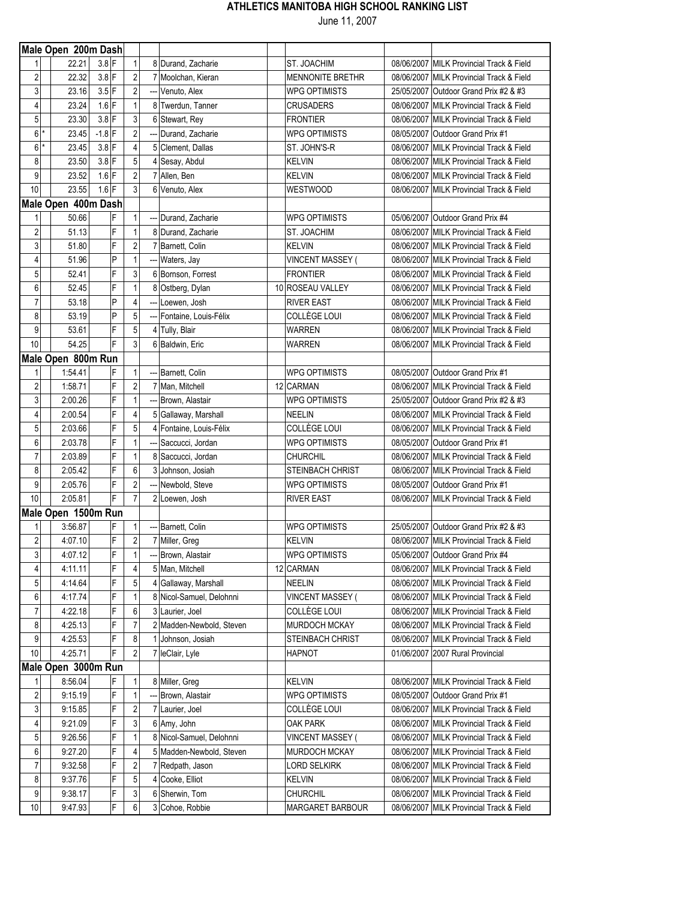|                | Male Open 200m Dash |          |                |                         |     |                           |                         |                                          |
|----------------|---------------------|----------|----------------|-------------------------|-----|---------------------------|-------------------------|------------------------------------------|
|                | 22.21               | $3.8$ F  |                | 1                       |     | 8 Durand, Zacharie        | ST. JOACHIM             | 08/06/2007 MILK Provincial Track & Field |
| $\mathbf{2}$   | 22.32               | $3.8$ F  |                | $\sqrt{2}$              |     | 7 Moolchan, Kieran        | <b>MENNONITE BRETHR</b> | 08/06/2007 MILK Provincial Track & Field |
| 3              | 23.16               | $3.5$ F  |                | $\overline{2}$          |     | --- Venuto, Alex          | <b>WPG OPTIMISTS</b>    | 25/05/2007 Outdoor Grand Prix #2 & #3    |
| 4              | 23.24               | $1.6$ F  |                | 1                       |     | 8 Twerdun, Tanner         | <b>CRUSADERS</b>        | 08/06/2007 MILK Provincial Track & Field |
| 5              | 23.30               | $3.8$ F  |                | 3                       |     | 6 Stewart, Rey            | <b>FRONTIER</b>         | 08/06/2007 MILK Provincial Track & Field |
| $6*$           | 23.45               | $-1.8$ F |                | $\overline{2}$          |     | Durand, Zacharie          | <b>WPG OPTIMISTS</b>    | 08/05/2007 Outdoor Grand Prix #1         |
| 6              | 23.45               | $3.8$ F  |                | 4                       |     | 5 Clement, Dallas         | ST. JOHN'S-R            | 08/06/2007 MILK Provincial Track & Field |
| 8              | 23.50               | $3.8$ F  |                | 5                       |     | 4 Sesay, Abdul            | <b>KELVIN</b>           | 08/06/2007 MILK Provincial Track & Field |
| 9              | 23.52               | $1.6$ F  |                | $\overline{\mathbf{c}}$ |     | 7 Allen, Ben              | <b>KELVIN</b>           | 08/06/2007 MILK Provincial Track & Field |
| 10             | 23.55               | $1.6$ F  |                | 3                       |     | 6 Venuto, Alex            | WESTWOOD                | 08/06/2007 MILK Provincial Track & Field |
|                | Male Open 400m Dash |          |                |                         |     |                           |                         |                                          |
|                | 50.66               |          | F              | 1                       |     | Durand, Zacharie          | <b>WPG OPTIMISTS</b>    | 05/06/2007 Outdoor Grand Prix #4         |
| $\mathbf{2}$   | 51.13               |          | F              | 1                       |     | 8 Durand, Zacharie        | ST. JOACHIM             | 08/06/2007 MILK Provincial Track & Field |
| 3              | 51.80               |          | F              | $\overline{\mathbf{c}}$ |     | 7 Barnett, Colin          | <b>KELVIN</b>           | 08/06/2007 MILK Provincial Track & Field |
| 4              | 51.96               |          | P              | 1                       |     | Waters, Jay               | VINCENT MASSEY (        | 08/06/2007 MILK Provincial Track & Field |
| 5              | 52.41               |          | F              | 3                       |     | 6 Bornson, Forrest        | <b>FRONTIER</b>         | 08/06/2007 MILK Provincial Track & Field |
| 6              | 52.45               |          | F              | 1                       |     | 8 Ostberg, Dylan          | 10 ROSEAU VALLEY        | 08/06/2007 MILK Provincial Track & Field |
| 7              | 53.18               |          | P              | 4                       |     | Loewen, Josh              | <b>RIVER EAST</b>       | 08/06/2007 MILK Provincial Track & Field |
| 8              | 53.19               |          | P              | 5                       |     | --- Fontaine, Louis-Félix | COLLÈGE LOUI            | 08/06/2007 MILK Provincial Track & Field |
| 9              | 53.61               |          | F              | 5                       |     | 4 Tully, Blair            | WARREN                  | 08/06/2007 MILK Provincial Track & Field |
| 10             | 54.25               |          | F              | 3                       |     | 6 Baldwin, Eric           | WARREN                  | 08/06/2007 MILK Provincial Track & Field |
|                | Male Open 800m Run  |          |                |                         |     |                           |                         |                                          |
|                | 1:54.41             |          | F              | 1                       |     | Barnett, Colin            | <b>WPG OPTIMISTS</b>    | 08/05/2007 Outdoor Grand Prix #1         |
| $\overline{2}$ | 1:58.71             |          | F              | $\overline{c}$          |     | 7 Man, Mitchell           | 12 CARMAN               | 08/06/2007 MILK Provincial Track & Field |
| 3              | 2:00.26             |          | F              | 1                       |     | Brown, Alastair           | <b>WPG OPTIMISTS</b>    | 25/05/2007 Outdoor Grand Prix #2 & #3    |
| 4              | 2:00.54             |          | F              | 4                       |     | 5 Gallaway, Marshall      | NEELIN                  | 08/06/2007 MILK Provincial Track & Field |
| 5              | 2:03.66             |          | F              | 5                       | 4   | Fontaine, Louis-Félix     | COLLÈGE LOUI            | 08/06/2007 MILK Provincial Track & Field |
| 6              | 2:03.78             |          | F              | 1                       |     | Saccucci, Jordan          | <b>WPG OPTIMISTS</b>    | 08/05/2007 Outdoor Grand Prix #1         |
| 7              | 2:03.89             |          | F              | 1                       |     | 8 Saccucci, Jordan        | <b>CHURCHIL</b>         | 08/06/2007 MILK Provincial Track & Field |
| 8              | 2:05.42             |          | F              | 6                       |     | 3 Johnson, Josiah         | <b>STEINBACH CHRIST</b> | 08/06/2007 MILK Provincial Track & Field |
| 9              | 2:05.76             |          | F              | $\overline{2}$          | --- | Newbold, Steve            | <b>WPG OPTIMISTS</b>    | 08/05/2007 Outdoor Grand Prix #1         |
| 10             | 2:05.81             |          | F              | $\overline{7}$          |     | 2 Loewen, Josh            | <b>RIVER EAST</b>       | 08/06/2007 MILK Provincial Track & Field |
|                | Male Open 1500m Run |          |                |                         |     |                           |                         |                                          |
| 1              | 3:56.87             |          |                | 1                       |     | Barnett, Colin            | <b>WPG OPTIMISTS</b>    | 25/05/2007 Outdoor Grand Prix #2 & #3    |
| 2              | 4:07.10             |          | F              | $\sqrt{2}$              |     | 7 Miller, Greg            | <b>KELVIN</b>           | 08/06/2007 MILK Provincial Track & Field |
| 3 <sup>1</sup> | 4:07.12             |          | $\overline{F}$ | 1                       |     | Brown, Alastair           | <b>WPG OPTIMISTS</b>    | 05/06/2007 Outdoor Grand Prix #4         |
| 4              | 4:11.11             |          | F              | 4                       |     | 5 Man, Mitchell           | 12 CARMAN               | 08/06/2007 MILK Provincial Track & Field |
| 5              | 4:14.64             |          | F              | 5                       |     | 4 Gallaway, Marshall      | <b>NEELIN</b>           | 08/06/2007 MILK Provincial Track & Field |
| 6              | 4:17.74             |          | F              | 1                       |     | 8 Nicol-Samuel, Delohnni  | <b>VINCENT MASSEY</b>   | 08/06/2007 MILK Provincial Track & Field |
| 7              | 4:22.18             |          | F              | 6                       |     | 3 Laurier, Joel           | COLLÈGE LOUI            | 08/06/2007 MILK Provincial Track & Field |
| 8              | 4:25.13             |          | F              | 7                       |     | 2 Madden-Newbold, Steven  | MURDOCH MCKAY           | 08/06/2007 MILK Provincial Track & Field |
| 9              | 4:25.53             |          | F              | 8                       | 11  | Johnson, Josiah           | <b>STEINBACH CHRIST</b> | 08/06/2007 MILK Provincial Track & Field |
| 10             | 4:25.71             |          | F              | $\overline{c}$          |     | 7 leClair, Lyle           | HAPNOT                  | 01/06/2007 2007 Rural Provincial         |
|                | Male Open 3000m Run |          |                |                         |     |                           |                         |                                          |
| 1              | 8:56.04             |          | F              | $\mathbf{1}$            |     | 8 Miller, Greg            | <b>KELVIN</b>           | 08/06/2007 MILK Provincial Track & Field |
| 2              | 9:15.19             |          | F              | 1                       |     | Brown, Alastair           | <b>WPG OPTIMISTS</b>    | 08/05/2007 Outdoor Grand Prix #1         |
| 3              | 9:15.85             |          | F              | 2                       |     | 7 Laurier, Joel           | COLLÈGE LOUI            | 08/06/2007 MILK Provincial Track & Field |
| 4              | 9:21.09             |          | F              | 3                       |     | 6 Amy, John               | OAK PARK                | 08/06/2007 MILK Provincial Track & Field |
| 5              | 9:26.56             |          | F              | 1                       |     | 8 Nicol-Samuel, Delohnni  | <b>VINCENT MASSEY (</b> | 08/06/2007 MILK Provincial Track & Field |
| 6              | 9:27.20             |          | F              | 4                       |     | 5 Madden-Newbold, Steven  | MURDOCH MCKAY           | 08/06/2007 MILK Provincial Track & Field |
| 7              | 9:32.58             |          | F              | 2                       |     | 7 Redpath, Jason          | <b>LORD SELKIRK</b>     | 08/06/2007 MILK Provincial Track & Field |
| 8              | 9:37.76             |          | F              | 5                       |     | 4 Cooke, Elliot           | <b>KELVIN</b>           | 08/06/2007 MILK Provincial Track & Field |
| 9              | 9:38.17             |          | F              | 3                       |     | 6 Sherwin, Tom            | <b>CHURCHIL</b>         | 08/06/2007 MILK Provincial Track & Field |
| 10             | 9:47.93             |          | F              | 6                       |     | 3 Cohoe, Robbie           | MARGARET BARBOUR        | 08/06/2007 MILK Provincial Track & Field |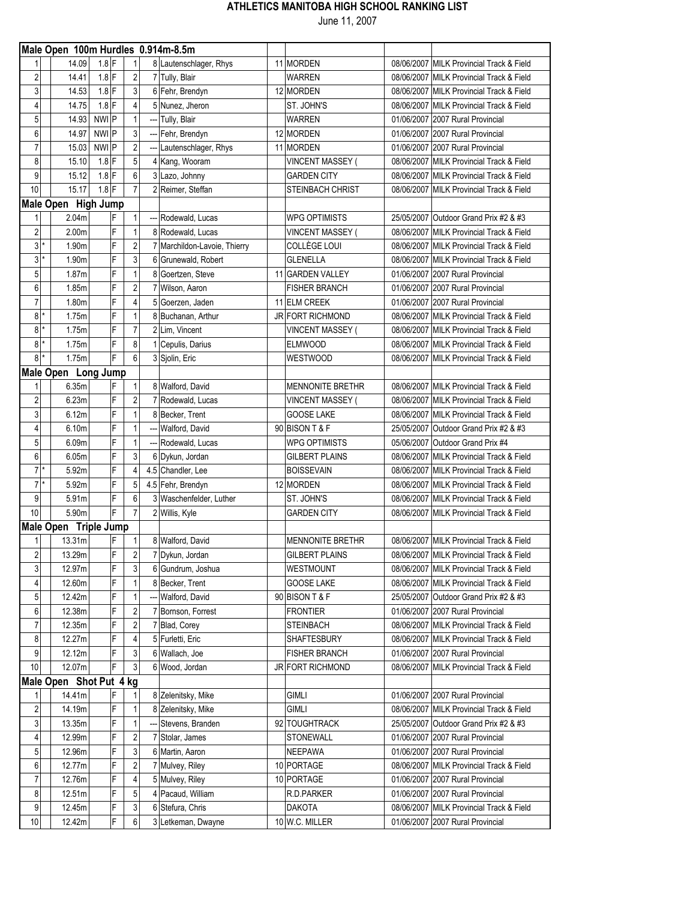|                |         | Male Open 100m Hurdles 0.914m-8.5m |         |   |                         |     |                              |                         |                                          |
|----------------|---------|------------------------------------|---------|---|-------------------------|-----|------------------------------|-------------------------|------------------------------------------|
|                |         | 14.09                              | $1.8$ F |   | 1                       |     | 8 Lautenschlager, Rhys       | 11 MORDEN               | 08/06/2007 MILK Provincial Track & Field |
| 2              |         | 14.41                              | $1.8$ F |   | $\overline{c}$          |     | 7 Tully, Blair               | <b>WARREN</b>           | 08/06/2007 MILK Provincial Track & Field |
| 3              |         | 14.53                              | $1.8$ F |   | 3                       |     | 6 Fehr, Brendyn              | 12 MORDEN               | 08/06/2007 MILK Provincial Track & Field |
| 4              |         | 14.75                              | $1.8$ F |   | 4                       |     | 5 Nunez. Jheron              | ST. JOHN'S              | 08/06/2007 MILK Provincial Track & Field |
| 5              |         | 14.93                              | NWI P   |   | 1                       |     | Tully, Blair                 | <b>WARREN</b>           | 01/06/2007 2007 Rural Provincial         |
| 6              |         | 14.97                              | NWI P   |   | 3                       |     | Fehr, Brendyn                | 12 MORDEN               | 01/06/2007 2007 Rural Provincial         |
| 7              |         | 15.03                              | NWI P   |   | $\overline{2}$          |     | --- Lautenschlager, Rhys     | 11 MORDEN               | 01/06/2007 2007 Rural Provincial         |
| 8              |         | 15.10                              | $1.8$ F |   | 5                       |     | 4 Kang, Wooram               | <b>VINCENT MASSEY (</b> | 08/06/2007 MILK Provincial Track & Field |
| 9              |         | 15.12                              | $1.8$ F |   | 6                       |     | 3 Lazo, Johnny               | <b>GARDEN CITY</b>      | 08/06/2007 MILK Provincial Track & Field |
| 10             |         | 15.17                              | $1.8$ F |   | $\overline{7}$          |     | 2 Reimer, Steffan            | <b>STEINBACH CHRIST</b> | 08/06/2007 MILK Provincial Track & Field |
|                |         | Male Open High Jump                |         |   |                         |     |                              |                         |                                          |
| 1              |         | 2.04m                              |         | F | 1                       | --- | Rodewald, Lucas              | <b>WPG OPTIMISTS</b>    | 25/05/2007 Outdoor Grand Prix #2 & #3    |
| 2              |         | 2.00 <sub>m</sub>                  |         | F | 1                       |     | 8 Rodewald, Lucas            | <b>VINCENT MASSEY (</b> | 08/06/2007 MILK Provincial Track & Field |
| 3              |         | 1.90m                              |         | F | 2                       |     | 7 Marchildon-Lavoie, Thierry | COLLÈGE LOUI            | 08/06/2007 MILK Provincial Track & Field |
| 3              |         | 1.90m                              |         | F | 3                       |     | 6 Grunewald, Robert          | <b>GLENELLA</b>         | 08/06/2007 MILK Provincial Track & Field |
| 5              |         | 1.87m                              |         | F | 1                       | 8   | Goertzen, Steve              | 11 GARDEN VALLEY        | 01/06/2007 2007 Rural Provincial         |
| 6              |         | 1.85m                              |         | F | $\overline{\mathbf{c}}$ | 7   | Wilson, Aaron                | <b>FISHER BRANCH</b>    | 01/06/2007 2007 Rural Provincial         |
| 7              |         | 1.80m                              |         | F | $\overline{4}$          | 5   | Goerzen, Jaden               | 11 ELM CREEK            | 01/06/2007 2007 Rural Provincial         |
| 8              |         | 1.75m                              |         | F | 1                       |     | 8 Buchanan, Arthur           | JR FORT RICHMOND        | 08/06/2007 MILK Provincial Track & Field |
| 8              | $\star$ | 1.75m                              |         | F | $\overline{7}$          |     | 2 Lim, Vincent               | <b>VINCENT MASSEY (</b> | 08/06/2007 MILK Provincial Track & Field |
|                | $8*$    | 1.75m                              |         | F | 8                       |     | 1 Cepulis, Darius            | <b>ELMWOOD</b>          | 08/06/2007 MILK Provincial Track & Field |
| 8              |         | 1.75m                              |         | F | 6                       |     | 3 Sjolin, Eric               | <b>WESTWOOD</b>         | 08/06/2007 MILK Provincial Track & Field |
|                |         | Male Open Long Jump                |         |   |                         |     |                              |                         |                                          |
|                |         | 6.35m                              |         | F | 1                       |     | 8 Walford, David             | <b>MENNONITE BRETHR</b> | 08/06/2007 MILK Provincial Track & Field |
| $\overline{2}$ |         | 6.23m                              |         | F | $\overline{2}$          |     | 7 Rodewald, Lucas            | <b>VINCENT MASSEY (</b> | 08/06/2007 MILK Provincial Track & Field |
| 3              |         | 6.12m                              |         | F | 1                       |     | 8 Becker, Trent              | <b>GOOSE LAKE</b>       | 08/06/2007 MILK Provincial Track & Field |
| 4              |         | 6.10m                              |         | F | 1                       |     | Walford, David               | 90 BISON T & F          | 25/05/2007 Outdoor Grand Prix #2 & #3    |
| 5              |         | 6.09m                              |         | F | 1                       |     | Rodewald, Lucas              | <b>WPG OPTIMISTS</b>    | 05/06/2007 Outdoor Grand Prix #4         |
| 6              |         | 6.05m                              |         | F | 3                       | 6   | Dykun, Jordan                | <b>GILBERT PLAINS</b>   | 08/06/2007 MILK Provincial Track & Field |
| 7              | $\star$ | 5.92m                              |         | F | $\overline{4}$          |     | 4.5 Chandler, Lee            | <b>BOISSEVAIN</b>       | 08/06/2007 MILK Provincial Track & Field |
| $\overline{7}$ |         | 5.92m                              |         | F | 5                       |     | 4.5 Fehr, Brendyn            | 12 MORDEN               | 08/06/2007 MILK Provincial Track & Field |
| 9              |         | 5.91m                              |         | F | 6                       |     | 3 Waschenfelder, Luther      | ST. JOHN'S              | 08/06/2007 MILK Provincial Track & Field |
| 10             |         | 5.90m                              |         | F | $\overline{7}$          |     | 2 Willis, Kyle               | <b>GARDEN CITY</b>      | 08/06/2007 MILK Provincial Track & Field |
|                |         | Male Open Triple Jump              |         |   |                         |     |                              |                         |                                          |
| 1              |         | 13.31m                             |         | F | 1                       |     | 8 Walford, David             | <b>MENNONITE BRETHR</b> | 08/06/2007 MILK Provincial Track & Field |
| $\sqrt{2}$     |         | 13.29m                             |         | F | $\sqrt{2}$              |     | 7 Dykun, Jordan              | <b>GILBERT PLAINS</b>   | 08/06/2007 MILK Provincial Track & Field |
| 3              |         | 12.97m                             |         | F | 3                       |     | 6 Gundrum, Joshua            | <b>WESTMOUNT</b>        | 08/06/2007 MILK Provincial Track & Field |
| 4              |         | 12.60m                             |         | F | 1                       |     | 8 Becker, Trent              | <b>GOOSE LAKE</b>       | 08/06/2007 MILK Provincial Track & Field |
| 5              |         | 12.42m                             |         | F | 1                       |     | Walford, David               | 90 BISON T & F          | 25/05/2007 Outdoor Grand Prix #2 & #3    |
| 6              |         | 12.38m                             |         | F | 2                       |     | 7 Bornson, Forrest           | <b>FRONTIER</b>         | 01/06/2007 2007 Rural Provincial         |
| 7              |         | 12.35m                             |         | F | $\overline{2}$          |     | 7 Blad, Corey                | <b>STEINBACH</b>        | 08/06/2007 MILK Provincial Track & Field |
| 8              |         | 12.27m                             |         |   |                         |     | 5 Furletti, Eric             | <b>SHAFTESBURY</b>      | 08/06/2007 MILK Provincial Track & Field |
| 9              |         | 12.12m                             |         | F | 3                       | 6   | Wallach, Joe                 | <b>FISHER BRANCH</b>    | 01/06/2007 2007 Rural Provincial         |
| 10             |         | 12.07m                             |         | F | 3                       |     | 6 Wood, Jordan               | <b>JR FORT RICHMOND</b> | 08/06/2007 MILK Provincial Track & Field |
|                |         | Male Open Shot Put 4 kg            |         |   |                         |     |                              |                         |                                          |
| 1              |         | 14.41m                             |         | F | 1                       |     | 8 Zelenitsky, Mike           | <b>GIMLI</b>            | 01/06/2007 2007 Rural Provincial         |
| 2              |         | 14.19m                             |         | F | 1                       |     | 8 Zelenitsky, Mike           | <b>GIMLI</b>            | 08/06/2007 MILK Provincial Track & Field |
| 3              |         | 13.35m                             |         | F | 1                       |     | Stevens, Branden             | 92 TOUGHTRACK           | 25/05/2007 Outdoor Grand Prix #2 & #3    |
| 4              |         | 12.99m                             |         | F | 2                       |     | 7 Stolar, James              | <b>STONEWALL</b>        | 01/06/2007 2007 Rural Provincial         |
| 5              |         | 12.96m                             |         | F | 3                       |     | 6 Martin, Aaron              | <b>NEEPAWA</b>          | 01/06/2007 2007 Rural Provincial         |
| 6              |         | 12.77m                             |         | F | 2                       |     | 7 Mulvey, Riley              | 10 PORTAGE              | 08/06/2007 MILK Provincial Track & Field |
| 7              |         | 12.76m                             |         | F | 4                       |     | 5 Mulvey, Riley              | 10 PORTAGE              | 01/06/2007 2007 Rural Provincial         |
| 8              |         | 12.51m                             |         | F | 5                       |     | 4 Pacaud, William            | R.D.PARKER              | 01/06/2007 2007 Rural Provincial         |
| 9              |         | 12.45m                             |         | F | 3                       |     | 6 Stefura, Chris             | <b>DAKOTA</b>           | 08/06/2007 MILK Provincial Track & Field |
| 10             |         | 12.42m                             |         | F | 6                       |     | 3 Letkeman, Dwayne           | 10 W.C. MILLER          | 01/06/2007 2007 Rural Provincial         |